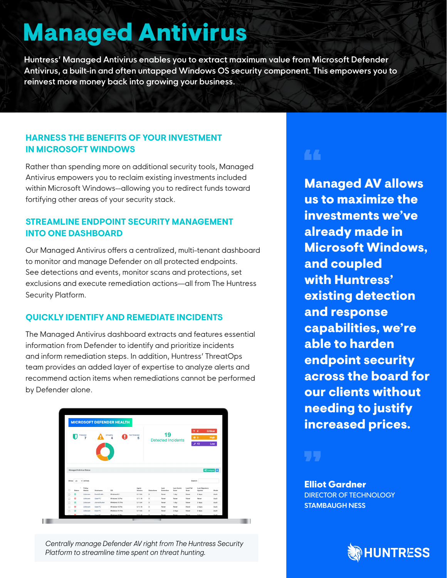# **Managed Antivirus**

**Huntress' Managed Antivirus enables you to extract maximum value from Microsoft Defender Antivirus, a built-in and often untapped Windows OS security component. This empowers you to reinvest more money back into growing your business.**

# **HARNESS THE BENEFITS OF YOUR INVESTMENT IN MICROSOFT WINDOWS**

Rather than spending more on additional security tools, Managed Antivirus empowers you to reclaim existing investments included within Microsoft Windows--allowing you to redirect funds toward fortifying other areas of your security stack.

# **STREAMLINE ENDPOINT SECURITY MANAGEMENT INTO ONE DASHBOARD**

Our Managed Antivirus offers a centralized, multi-tenant dashboard to monitor and manage Defender on all protected endpoints. See detections and events, monitor scans and protections, set exclusions and execute remediation actions—all from The Huntress Security Platform.

# **QUICKLY IDENTIFY AND REMEDIATE INCIDENTS**

The Managed Antivirus dashboard extracts and features essential information from Defender to identify and prioritize incidents and inform remediation steps. In addition, Huntress' ThreatOps team provides an added layer of expertise to analyze alerts and recommend action items when remediations cannot be performed by Defender alone.

|        |                          |                         |                           | <b>MICROSOFT DEFENDER HEALTH</b> |                    |            |                   |                           |                   |                                                                   |             |
|--------|--------------------------|-------------------------|---------------------------|----------------------------------|--------------------|------------|-------------------|---------------------------|-------------------|-------------------------------------------------------------------|-------------|
|        |                          | Protected<br>7          |                           | Unhealthy<br>4                   | Not Protected<br>5 |            | 19                | <b>Detected Incidents</b> |                   | 42<br>Critical<br>0 <sub>0</sub><br>$F$ 13                        | High<br>Low |
|        | Managed Antivirus Status |                         |                           |                                  |                    |            |                   |                           |                   | $\left  \mathbf{0}^0_0 \right $ Configure $\left  \Delta \right $ |             |
| Show   | 25                       | $\vee$ entries          |                           |                                  |                    |            |                   |                           | Search:           |                                                                   |             |
| o      | Status                   | Policy<br><b>Status</b> | $\mathcal{M}$<br>Hostname | O <sub>8</sub>                   | Agent<br>Version   | Detections | Last<br>Detection | <b>Last Quick</b><br>Scan | Last Full<br>Scen | Last Signature<br>Update                                          | Mode        |
| O      | $\circ$                  | Unknown                 | DavidSmith                | Windows 8.1                      | 0.11.64            | $^{\circ}$ | Never             | 1 day                     | Never             | $2$ days                                                          | Audit       |
| $\Box$ | $\odot$                  | Unknown                 | User-PC                   | Windows 10 Pro                   | 0.11.16            | $\circ$    | Never             | Never                     | Newer             | Never                                                             | Audit       |
| n      | $\boldsymbol{\Theta}$    | Unknown                 | JamosHunter               | Windows 10 Pro                   | 0.11.64            | $^{\circ}$ | Never             | 1 day                     | Never             | $2$ days                                                          | Audit       |
| $\Box$ | $\odot$                  | Unknown                 | User-PC                   | Windows 10 Pro                   | 0.11.16            | $\circ$    | Never             | Never                     | Never             | 2 days                                                            | Audit       |
| n      | $\omega$                 | Unknown                 | User-PC                   | Windows 10 Pro                   | 0.11.64            | $^{\circ}$ | Never             | 2 days                    | Never             | $2$ days                                                          | Audit       |
|        |                          | Helmourn                | Lines DO                  | Windows 10 Drs.                  | 0.11.18            | $\sim$     | Massac            | Maune.                    | Moran             | 0 days                                                            | Audit       |

*Centrally manage Defender AV right from The Huntress Security Platform to streamline time spent on threat hunting.*

# $\blacksquare$

Managed AV allows us to maximize the investments we've already made in Microsoft Windows, and coupled with Huntress' existing detection and response capabilities, we're able to harden endpoint security across the board for our clients without needing to justify increased prices.



## Elliot Gardner DIRECTOR OF TECHNOLOGY

**STAMBAUGH NESS**